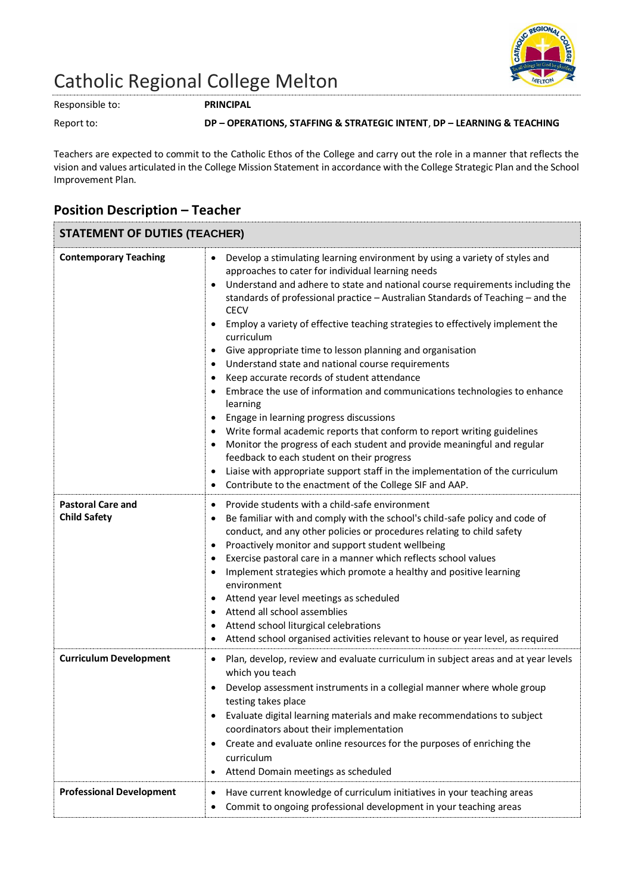

## Catholic Regional College Melton

Responsible to: **PRINCIPAL**

## Report to: **DP – OPERATIONS, STAFFING & STRATEGIC INTENT**, **DP – LEARNING & TEACHING**

Teachers are expected to commit to the Catholic Ethos of the College and carry out the role in a manner that reflects the vision and values articulated in the College Mission Statement in accordance with the College Strategic Plan and the School Improvement Plan.

## **Position Description – Teacher**

| <b>STATEMENT OF DUTIES (TEACHER)</b>            |                                                                                                                                                                                                                                                                                                                                                                                                                                                                                                                                                                                                                                                                                                                                                                                                                                                                                                                                                                                                                                                                                                                                                                                                                              |
|-------------------------------------------------|------------------------------------------------------------------------------------------------------------------------------------------------------------------------------------------------------------------------------------------------------------------------------------------------------------------------------------------------------------------------------------------------------------------------------------------------------------------------------------------------------------------------------------------------------------------------------------------------------------------------------------------------------------------------------------------------------------------------------------------------------------------------------------------------------------------------------------------------------------------------------------------------------------------------------------------------------------------------------------------------------------------------------------------------------------------------------------------------------------------------------------------------------------------------------------------------------------------------------|
| <b>Contemporary Teaching</b>                    | Develop a stimulating learning environment by using a variety of styles and<br>$\bullet$<br>approaches to cater for individual learning needs<br>Understand and adhere to state and national course requirements including the<br>$\bullet$<br>standards of professional practice - Australian Standards of Teaching - and the<br><b>CECV</b><br>Employ a variety of effective teaching strategies to effectively implement the<br>$\bullet$<br>curriculum<br>Give appropriate time to lesson planning and organisation<br>$\bullet$<br>Understand state and national course requirements<br>$\bullet$<br>Keep accurate records of student attendance<br>$\bullet$<br>Embrace the use of information and communications technologies to enhance<br>$\bullet$<br>learning<br>Engage in learning progress discussions<br>$\bullet$<br>Write formal academic reports that conform to report writing guidelines<br>$\bullet$<br>Monitor the progress of each student and provide meaningful and regular<br>٠<br>feedback to each student on their progress<br>Liaise with appropriate support staff in the implementation of the curriculum<br>$\bullet$<br>Contribute to the enactment of the College SIF and AAP.<br>$\bullet$ |
| <b>Pastoral Care and</b><br><b>Child Safety</b> | Provide students with a child-safe environment<br>$\bullet$<br>Be familiar with and comply with the school's child-safe policy and code of<br>٠<br>conduct, and any other policies or procedures relating to child safety<br>Proactively monitor and support student wellbeing<br>$\bullet$<br>Exercise pastoral care in a manner which reflects school values<br>$\bullet$<br>Implement strategies which promote a healthy and positive learning<br>٠<br>environment<br>Attend year level meetings as scheduled<br>$\bullet$<br>Attend all school assemblies<br>$\bullet$<br>Attend school liturgical celebrations<br>$\bullet$<br>Attend school organised activities relevant to house or year level, as required<br>٠                                                                                                                                                                                                                                                                                                                                                                                                                                                                                                     |
| <b>Curriculum Development</b>                   | Plan, develop, review and evaluate curriculum in subject areas and at year levels<br>$\bullet$<br>which you teach<br>Develop assessment instruments in a collegial manner where whole group<br>testing takes place<br>Evaluate digital learning materials and make recommendations to subject<br>coordinators about their implementation<br>Create and evaluate online resources for the purposes of enriching the<br>٠<br>curriculum<br>Attend Domain meetings as scheduled<br>$\bullet$                                                                                                                                                                                                                                                                                                                                                                                                                                                                                                                                                                                                                                                                                                                                    |
| <b>Professional Development</b>                 | Have current knowledge of curriculum initiatives in your teaching areas<br>$\bullet$<br>Commit to ongoing professional development in your teaching areas<br>$\bullet$                                                                                                                                                                                                                                                                                                                                                                                                                                                                                                                                                                                                                                                                                                                                                                                                                                                                                                                                                                                                                                                       |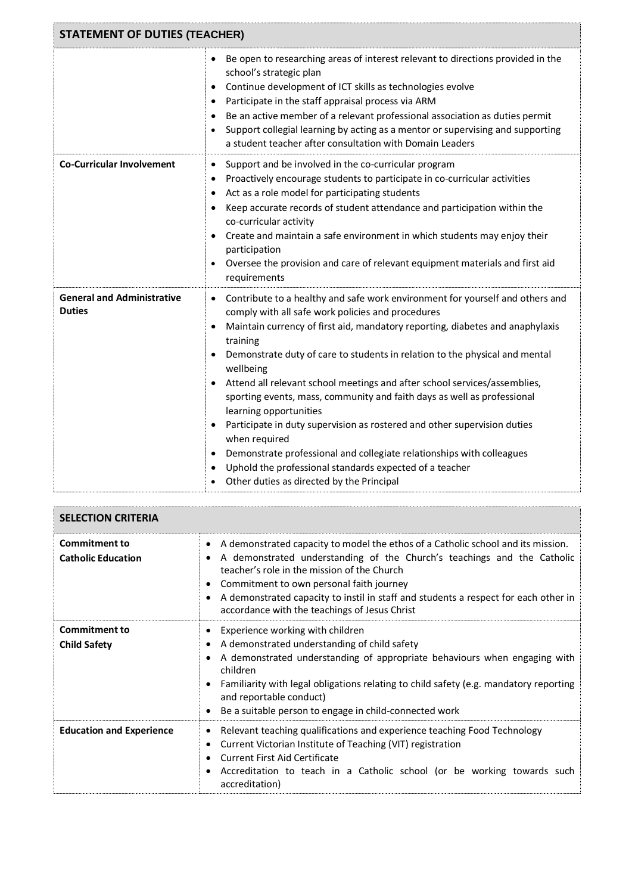| <b>STATEMENT OF DUTIES (TEACHER)</b>               |                                                                                                                                                                                                                                                                                                                                                                                                                                                                                                                                                                                                                                                                                                                                                                                                                                           |  |
|----------------------------------------------------|-------------------------------------------------------------------------------------------------------------------------------------------------------------------------------------------------------------------------------------------------------------------------------------------------------------------------------------------------------------------------------------------------------------------------------------------------------------------------------------------------------------------------------------------------------------------------------------------------------------------------------------------------------------------------------------------------------------------------------------------------------------------------------------------------------------------------------------------|--|
|                                                    | Be open to researching areas of interest relevant to directions provided in the<br>٠<br>school's strategic plan<br>Continue development of ICT skills as technologies evolve<br>٠<br>Participate in the staff appraisal process via ARM<br>٠<br>Be an active member of a relevant professional association as duties permit<br>$\bullet$<br>Support collegial learning by acting as a mentor or supervising and supporting<br>٠<br>a student teacher after consultation with Domain Leaders                                                                                                                                                                                                                                                                                                                                               |  |
| <b>Co-Curricular Involvement</b>                   | Support and be involved in the co-curricular program<br>$\bullet$<br>Proactively encourage students to participate in co-curricular activities<br>٠<br>Act as a role model for participating students<br>$\bullet$<br>Keep accurate records of student attendance and participation within the<br>٠<br>co-curricular activity<br>Create and maintain a safe environment in which students may enjoy their<br>٠<br>participation<br>Oversee the provision and care of relevant equipment materials and first aid<br>$\bullet$<br>requirements                                                                                                                                                                                                                                                                                              |  |
| <b>General and Administrative</b><br><b>Duties</b> | Contribute to a healthy and safe work environment for yourself and others and<br>٠<br>comply with all safe work policies and procedures<br>Maintain currency of first aid, mandatory reporting, diabetes and anaphylaxis<br>٠<br>training<br>Demonstrate duty of care to students in relation to the physical and mental<br>٠<br>wellbeing<br>Attend all relevant school meetings and after school services/assemblies,<br>$\bullet$<br>sporting events, mass, community and faith days as well as professional<br>learning opportunities<br>Participate in duty supervision as rostered and other supervision duties<br>when required<br>Demonstrate professional and collegiate relationships with colleagues<br>٠<br>Uphold the professional standards expected of a teacher<br>$\bullet$<br>Other duties as directed by the Principal |  |

| <b>SELECTION CRITERIA</b>                         |                                                                                                                                                                                                                                                                                                                                                                                                             |  |
|---------------------------------------------------|-------------------------------------------------------------------------------------------------------------------------------------------------------------------------------------------------------------------------------------------------------------------------------------------------------------------------------------------------------------------------------------------------------------|--|
| <b>Commitment to</b><br><b>Catholic Education</b> | A demonstrated capacity to model the ethos of a Catholic school and its mission.<br>$\bullet$<br>A demonstrated understanding of the Church's teachings and the Catholic<br>teacher's role in the mission of the Church<br>Commitment to own personal faith journey<br>A demonstrated capacity to instil in staff and students a respect for each other in<br>accordance with the teachings of Jesus Christ |  |
| <b>Commitment to</b><br><b>Child Safety</b>       | Experience working with children<br>A demonstrated understanding of child safety<br>A demonstrated understanding of appropriate behaviours when engaging with<br>children<br>Familiarity with legal obligations relating to child safety (e.g. mandatory reporting<br>and reportable conduct)<br>Be a suitable person to engage in child-connected work                                                     |  |
| <b>Education and Experience</b>                   | Relevant teaching qualifications and experience teaching Food Technology<br>Current Victorian Institute of Teaching (VIT) registration<br><b>Current First Aid Certificate</b><br>Accreditation to teach in a Catholic school (or be working towards such<br>accreditation)                                                                                                                                 |  |

÷,

 $\bar{t}^{\rm max}$